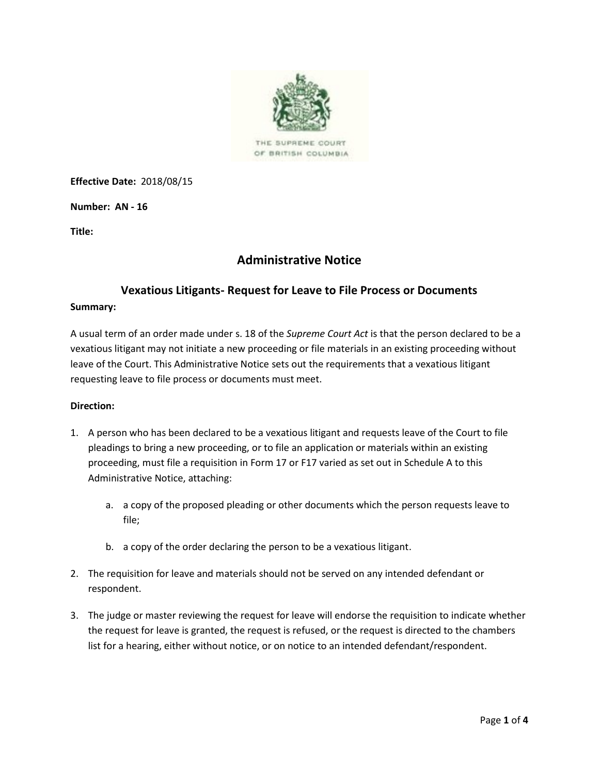

THE SUPREME COURT OF BRITISH COLUMBIA

**Effective Date:** 2018/08/15

**Number: AN - 16**

**Title:**

# **Administrative Notice**

# **Vexatious Litigants- Request for Leave to File Process or Documents**

#### **Summary:**

A usual term of an order made under s. 18 of the *Supreme Court Act* is that the person declared to be a vexatious litigant may not initiate a new proceeding or file materials in an existing proceeding without leave of the Court. This Administrative Notice sets out the requirements that a vexatious litigant requesting leave to file process or documents must meet.

#### **Direction:**

- 1. A person who has been declared to be a vexatious litigant and requests leave of the Court to file pleadings to bring a new proceeding, or to file an application or materials within an existing proceeding, must file a requisition in Form 17 or F17 varied as set out in Schedule A to this Administrative Notice, attaching:
	- a. a copy of the proposed pleading or other documents which the person requests leave to file;
	- b. a copy of the order declaring the person to be a vexatious litigant.
- 2. The requisition for leave and materials should not be served on any intended defendant or respondent.
- 3. The judge or master reviewing the request for leave will endorse the requisition to indicate whether the request for leave is granted, the request is refused, or the request is directed to the chambers list for a hearing, either without notice, or on notice to an intended defendant/respondent.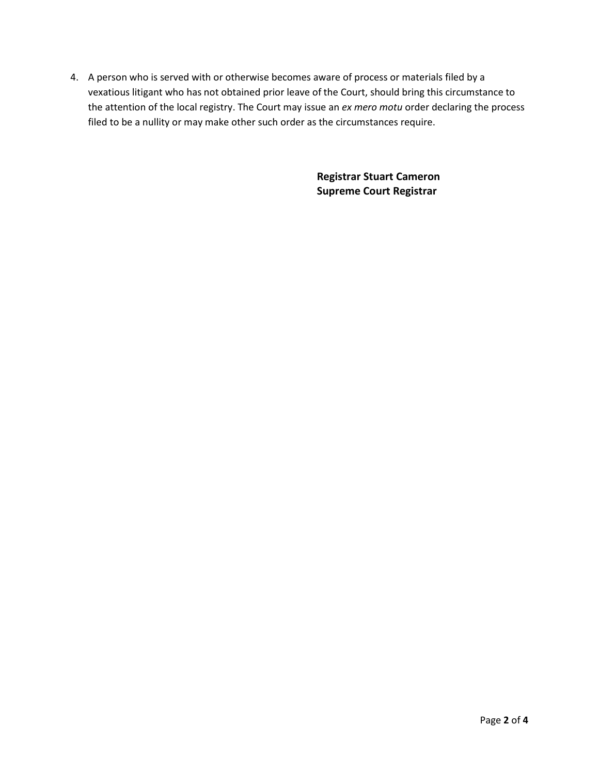4. A person who is served with or otherwise becomes aware of process or materials filed by a vexatious litigant who has not obtained prior leave of the Court, should bring this circumstance to the attention of the local registry. The Court may issue an *ex mero motu* order declaring the process filed to be a nullity or may make other such order as the circumstances require.

> **Registrar Stuart Cameron Supreme Court Registrar**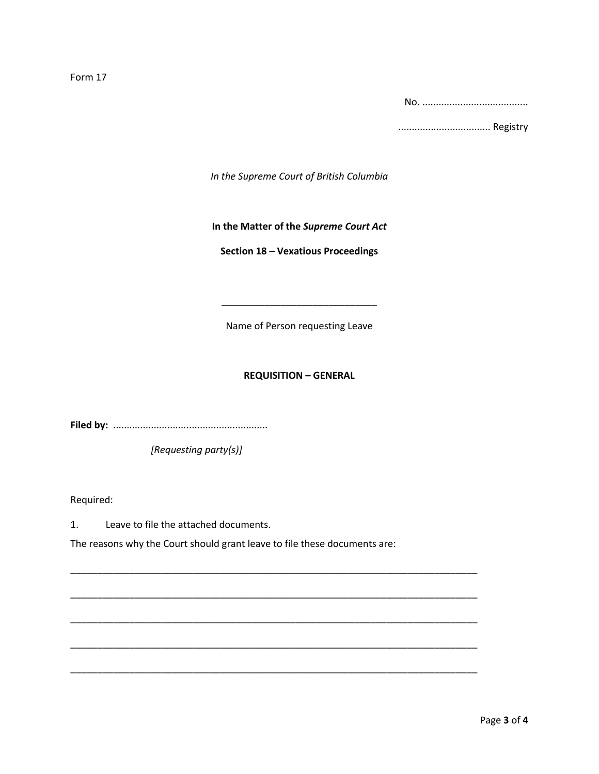Form 17

No. .......................................

.................................. Registry

*In the Supreme Court of British Columbia*

# **In the Matter of the** *Supreme Court Act*

# **Section 18 – Vexatious Proceedings**

Name of Person requesting Leave

\_\_\_\_\_\_\_\_\_\_\_\_\_\_\_\_\_\_\_\_\_\_\_\_\_\_\_\_\_

# **REQUISITION – GENERAL**

**Filed by:** .........................................................

*[Requesting party(s)]*

Required:

1. Leave to file the attached documents.

The reasons why the Court should grant leave to file these documents are:

\_\_\_\_\_\_\_\_\_\_\_\_\_\_\_\_\_\_\_\_\_\_\_\_\_\_\_\_\_\_\_\_\_\_\_\_\_\_\_\_\_\_\_\_\_\_\_\_\_\_\_\_\_\_\_\_\_\_\_\_\_\_\_\_\_\_\_\_\_\_\_\_\_\_\_\_

\_\_\_\_\_\_\_\_\_\_\_\_\_\_\_\_\_\_\_\_\_\_\_\_\_\_\_\_\_\_\_\_\_\_\_\_\_\_\_\_\_\_\_\_\_\_\_\_\_\_\_\_\_\_\_\_\_\_\_\_\_\_\_\_\_\_\_\_\_\_\_\_\_\_\_\_

\_\_\_\_\_\_\_\_\_\_\_\_\_\_\_\_\_\_\_\_\_\_\_\_\_\_\_\_\_\_\_\_\_\_\_\_\_\_\_\_\_\_\_\_\_\_\_\_\_\_\_\_\_\_\_\_\_\_\_\_\_\_\_\_\_\_\_\_\_\_\_\_\_\_\_\_

\_\_\_\_\_\_\_\_\_\_\_\_\_\_\_\_\_\_\_\_\_\_\_\_\_\_\_\_\_\_\_\_\_\_\_\_\_\_\_\_\_\_\_\_\_\_\_\_\_\_\_\_\_\_\_\_\_\_\_\_\_\_\_\_\_\_\_\_\_\_\_\_\_\_\_\_

\_\_\_\_\_\_\_\_\_\_\_\_\_\_\_\_\_\_\_\_\_\_\_\_\_\_\_\_\_\_\_\_\_\_\_\_\_\_\_\_\_\_\_\_\_\_\_\_\_\_\_\_\_\_\_\_\_\_\_\_\_\_\_\_\_\_\_\_\_\_\_\_\_\_\_\_